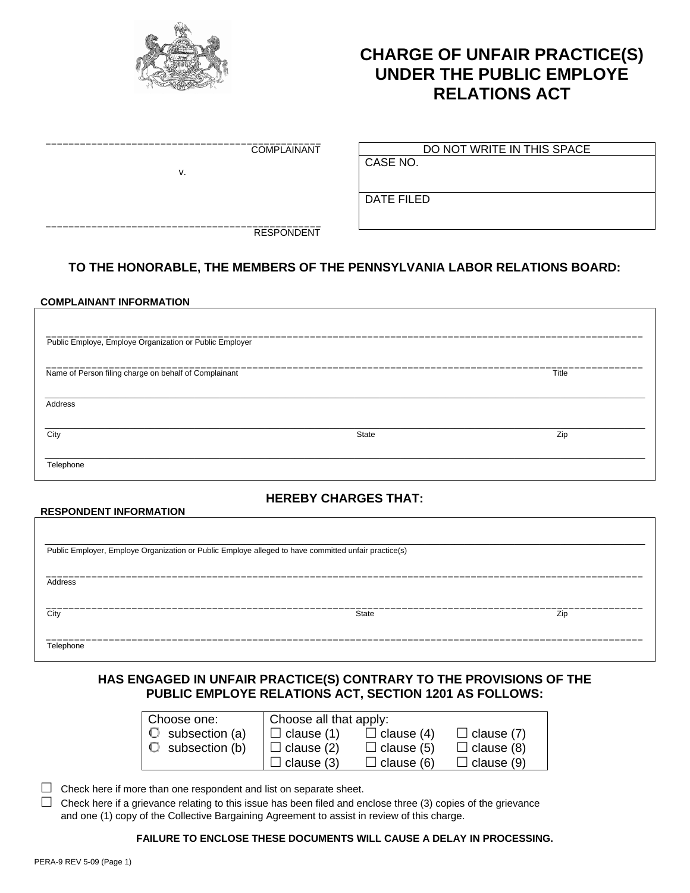

\_\_\_\_\_\_\_\_\_\_\_\_\_\_\_\_\_\_\_\_\_\_\_\_\_\_\_\_\_\_\_\_\_\_\_\_\_\_\_\_\_\_\_\_\_\_\_\_

v.

\_\_\_\_\_\_\_\_\_\_\_\_\_\_\_\_\_\_\_\_\_\_\_\_\_\_\_\_\_\_\_\_\_\_\_\_\_\_\_\_\_\_\_\_\_\_\_\_

# **CHARGE OF UNFAIR PRACTICE(S) UNDER THE PUBLIC EMPLOYE RELATIONS ACT**

COMPLAINANT

DO NOT WRITE IN THIS SPACE

CASE NO.

DATE FILED

RESPONDENT

# **TO THE HONORABLE, THE MEMBERS OF THE PENNSYLVANIA LABOR RELATIONS BOARD:**

#### **COMPLAINANT INFORMATION**

**RESPONDENT INFORMATION** 

| Public Employe, Employe Organization or Public Employer |       |       |  |  |  |
|---------------------------------------------------------|-------|-------|--|--|--|
| Name of Person filing charge on behalf of Complainant   |       | Title |  |  |  |
| Address                                                 |       |       |  |  |  |
| City                                                    | State | Zip   |  |  |  |
| Telephone                                               |       |       |  |  |  |

# **HEREBY CHARGES THAT:**

| Public Employer, Employe Organization or Public Employe alleged to have committed unfair practice(s) |       |     |  |  |  |
|------------------------------------------------------------------------------------------------------|-------|-----|--|--|--|
| Address                                                                                              |       |     |  |  |  |
| City                                                                                                 | State | Zip |  |  |  |

### **HAS ENGAGED IN UNFAIR PRACTICE(S) CONTRARY TO THE PROVISIONS OF THE PUBLIC EMPLOYE RELATIONS ACT, SECTION 1201 AS FOLLOWS:**

| Choose one:                 | Choose all that apply: |                   |                   |
|-----------------------------|------------------------|-------------------|-------------------|
| $\mathbb O$ subsection (a)  | $\Box$ clause (1)      | $\Box$ clause (4) | $\Box$ clause (7) |
| $\mathbb{O}$ subsection (b) | $\Box$ clause (2)      | $\Box$ clause (5) | $\Box$ clause (8) |
|                             | d clause (3)           | $\Box$ clause (6) | $\Box$ clause (9) |

 $\Box$  Check here if more than one respondent and list on separate sheet.

 $\Box$  Check here if a grievance relating to this issue has been filed and enclose three (3) copies of the grievance and one (1) copy of the Collective Bargaining Agreement to assist in review of this charge.

#### **FAILURE TO ENCLOSE THESE DOCUMENTS WILL CAUSE A DELAY IN PROCESSING.**